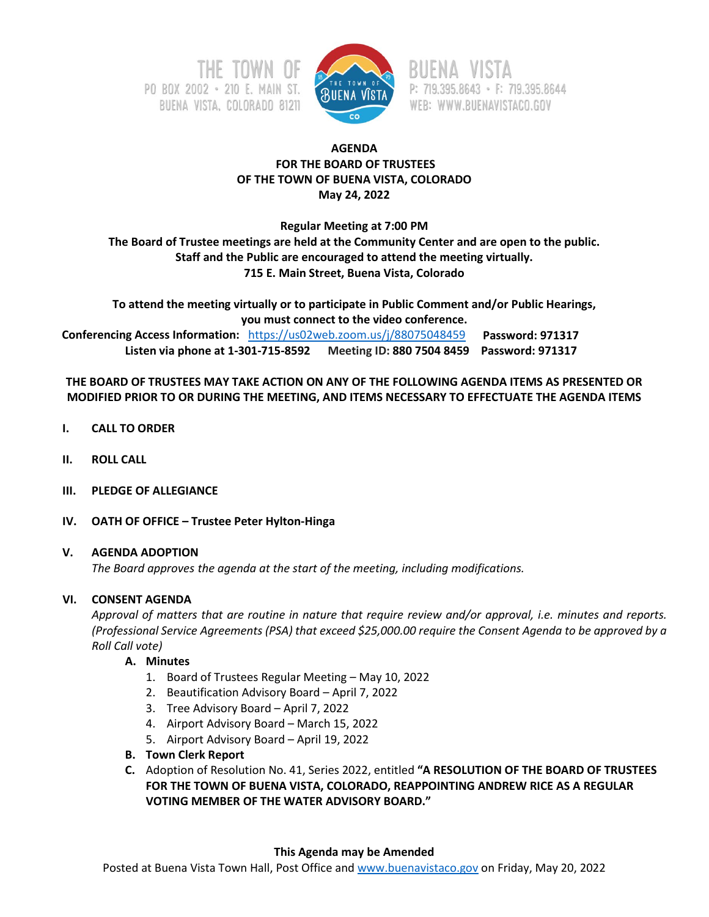



P: 719.395.8643 · F: 719.395.8644 WEB: WWW.BUENAVISTACO.GOV

# **AGENDA FOR THE BOARD OF TRUSTEES OF THE TOWN OF BUENA VISTA, COLORADO May 24, 2022**

**Regular Meeting at 7:00 PM**

**The Board of Trustee meetings are held at the Community Center and are open to the public. Staff and the Public are encouraged to attend the meeting virtually. 715 E. Main Street, Buena Vista, Colorado**

**To attend the meeting virtually or to participate in Public Comment and/or Public Hearings, you must connect to the video conference.**

 **Conferencing Access Information:** <https://us02web.zoom.us/j/88075048459>**Password: 971317 Listen via phone at 1-301-715-8592 Meeting ID: 880 7504 8459 Password: 971317**

**THE BOARD OF TRUSTEES MAY TAKE ACTION ON ANY OF THE FOLLOWING AGENDA ITEMS AS PRESENTED OR MODIFIED PRIOR TO OR DURING THE MEETING, AND ITEMS NECESSARY TO EFFECTUATE THE AGENDA ITEMS**

- **I. CALL TO ORDER**
- **II. ROLL CALL**
- **III. PLEDGE OF ALLEGIANCE**
- **IV. OATH OF OFFICE – Trustee Peter Hylton-Hinga**

## **V. AGENDA ADOPTION**

*The Board approves the agenda at the start of the meeting, including modifications.*

# **VI. CONSENT AGENDA**

*Approval of matters that are routine in nature that require review and/or approval, i.e. minutes and reports. (Professional Service Agreements (PSA) that exceed \$25,000.00 require the Consent Agenda to be approved by a Roll Call vote)*

# **A. Minutes**

- 1. Board of Trustees Regular Meeting May 10, 2022
- 2. Beautification Advisory Board April 7, 2022
- 3. Tree Advisory Board April 7, 2022
- 4. Airport Advisory Board March 15, 2022
- 5. Airport Advisory Board April 19, 2022
- **B. Town Clerk Report**
- **C.** Adoption of Resolution No. 41, Series 2022, entitled **"A RESOLUTION OF THE BOARD OF TRUSTEES FOR THE TOWN OF BUENA VISTA, COLORADO, REAPPOINTING ANDREW RICE AS A REGULAR VOTING MEMBER OF THE WATER ADVISORY BOARD."**

## **This Agenda may be Amended**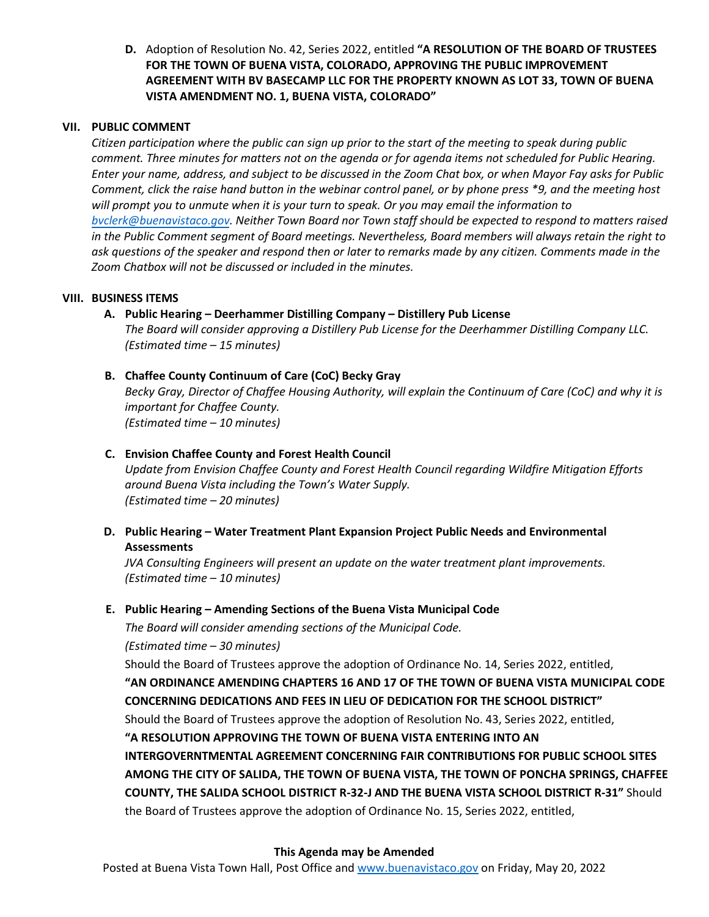**D.** Adoption of Resolution No. 42, Series 2022, entitled **"A RESOLUTION OF THE BOARD OF TRUSTEES FOR THE TOWN OF BUENA VISTA, COLORADO, APPROVING THE PUBLIC IMPROVEMENT AGREEMENT WITH BV BASECAMP LLC FOR THE PROPERTY KNOWN AS LOT 33, TOWN OF BUENA VISTA AMENDMENT NO. 1, BUENA VISTA, COLORADO"**

# **VII. PUBLIC COMMENT**

*Citizen participation where the public can sign up prior to the start of the meeting to speak during public comment. Three minutes for matters not on the agenda or for agenda items not scheduled for Public Hearing. Enter your name, address, and subject to be discussed in the Zoom Chat box, or when Mayor Fay asks for Public Comment, click the raise hand button in the webinar control panel, or by phone press \*9, and the meeting host will prompt you to unmute when it is your turn to speak. Or you may email the information to [bvclerk@buenavistaco.gov.](mailto:bvclerk@buenavistaco.gov) Neither Town Board nor Town staff should be expected to respond to matters raised in the Public Comment segment of Board meetings. Nevertheless, Board members will always retain the right to ask questions of the speaker and respond then or later to remarks made by any citizen. Comments made in the Zoom Chatbox will not be discussed or included in the minutes.*

## **VIII. BUSINESS ITEMS**

**A. Public Hearing – Deerhammer Distilling Company – Distillery Pub License**

*The Board will consider approving a Distillery Pub License for the Deerhammer Distilling Company LLC. (Estimated time – 15 minutes)*

# **B. Chaffee County Continuum of Care (CoC) Becky Gray**

*Becky Gray, Director of Chaffee Housing Authority, will explain the Continuum of Care (CoC) and why it is important for Chaffee County. (Estimated time – 10 minutes)*

# **C. Envision Chaffee County and Forest Health Council**

*Update from Envision Chaffee County and Forest Health Council regarding Wildfire Mitigation Efforts around Buena Vista including the Town's Water Supply. (Estimated time – 20 minutes)*

**D. Public Hearing – Water Treatment Plant Expansion Project Public Needs and Environmental Assessments**

*JVA Consulting Engineers will present an update on the water treatment plant improvements. (Estimated time – 10 minutes)*

# **E. Public Hearing – Amending Sections of the Buena Vista Municipal Code**

*The Board will consider amending sections of the Municipal Code.*

*(Estimated time – 30 minutes)*

Should the Board of Trustees approve the adoption of Ordinance No. 14, Series 2022, entitled,

**"AN ORDINANCE AMENDING CHAPTERS 16 AND 17 OF THE TOWN OF BUENA VISTA MUNICIPAL CODE CONCERNING DEDICATIONS AND FEES IN LIEU OF DEDICATION FOR THE SCHOOL DISTRICT"**

Should the Board of Trustees approve the adoption of Resolution No. 43, Series 2022, entitled,

**"A RESOLUTION APPROVING THE TOWN OF BUENA VISTA ENTERING INTO AN**

**INTERGOVERNTMENTAL AGREEMENT CONCERNING FAIR CONTRIBUTIONS FOR PUBLIC SCHOOL SITES AMONG THE CITY OF SALIDA, THE TOWN OF BUENA VISTA, THE TOWN OF PONCHA SPRINGS, CHAFFEE COUNTY, THE SALIDA SCHOOL DISTRICT R-32-J AND THE BUENA VISTA SCHOOL DISTRICT R-31"** Should the Board of Trustees approve the adoption of Ordinance No. 15, Series 2022, entitled,

## **This Agenda may be Amended**